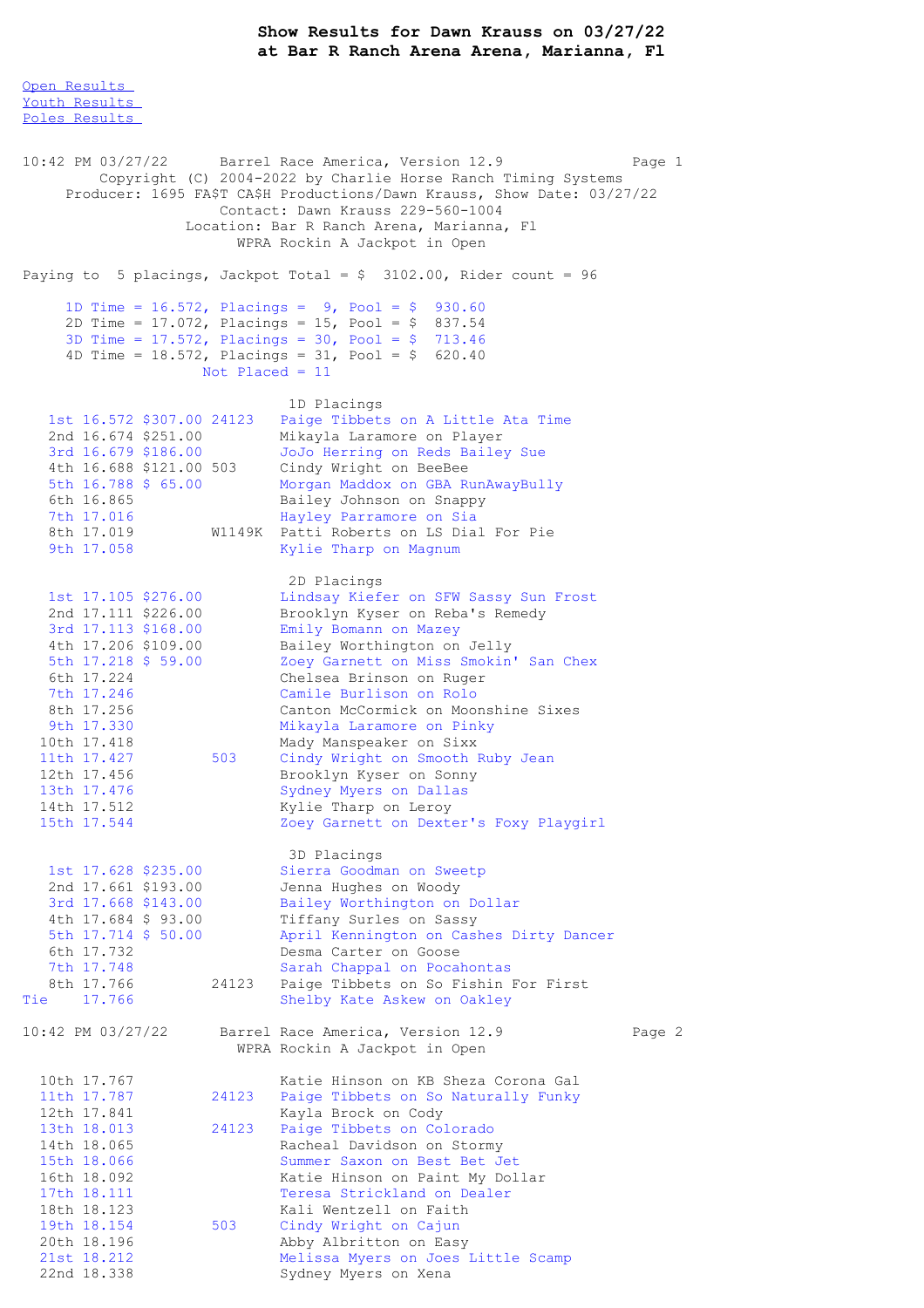## **Show Results for Dawn Krauss on 03/27/22 at Bar R Ranch Arena Arena, Marianna, Fl**

Open [Results](file:///C:/Users/flori/Downloads/Show_Results_Dawn_Krauss_03_27_22.html#Open)

Youth [Results](file:///C:/Users/flori/Downloads/Show_Results_Dawn_Krauss_03_27_22.html#Youth) Poles [Results](file:///C:/Users/flori/Downloads/Show_Results_Dawn_Krauss_03_27_22.html#Poles) 10:42 PM 03/27/22 Barrel Race America, Version 12.9 Page 1 Copyright (C) 2004-2022 by Charlie Horse Ranch Timing Systems Producer: 1695 FA\$T CA\$H Productions/Dawn Krauss, Show Date: 03/27/22 Contact: Dawn Krauss 229-560-1004 Location: Bar R Ranch Arena, Marianna, Fl WPRA Rockin A Jackpot in Open Paying to 5 placings, Jackpot Total =  $$3102.00$ , Rider count = 96 1D Time = 16.572, Placings = 9, Pool = \$ 930.60 2D Time = 17.072, Placings = 15, Pool = \$ 837.54 3D Time = 17.572, Placings = 30, Pool = \$ 713.46 4D Time = 18.572, Placings = 31, Pool = \$ 620.40 Not Placed = 11 1D Placings 1st 16.572 \$307.00 24123 Paige Tibbets on A Little Ata Time 2nd 16.674 \$251.00 Mikayla Laramore on Player 3rd 16.679 \$186.00 JoJo Herring on Reds Bailey Sue 4th 16.688 \$121.00 503 Cindy Wright on BeeBee 5th 16.788 \$ 65.00 Morgan Maddox on GBA RunAwayBully 6th 16.865 Bailey Johnson on Snappy<br>
7th 17.016 Hayley Parramore on Sia 7th 17.016 Hayley Parramore on Sia<br>8th 17.019 W1149K Patti Roberts on LS Dia W1149K Patti Roberts on LS Dial For Pie 9th 17.058 Kylie Tharp on Magnum 2D Placings 1st 17.105 \$276.00 Lindsay Kiefer on SFW Sassy Sun Frost 2nd 17.111 \$226.00 Brooklyn Kyser on Reba's Remedy 3rd 17.113 \$168.00 Emily Bomann on Mazey 4th 17.206 \$109.00 Bailey Worthington on Jelly 5th 17.218 \$ 59.00 Zoey Garnett on Miss Smokin' San Chex 6th 17.224 Chelsea Brinson on Ruger 7th 17.246 Camile Burlison on Rolo 8th 17.256 Canton McCormick on Moonshine Sixes<br>9th 17.330 Mikayla Laramore on Pinky 9th 17.330 Mikayla Laramore on Pinky 10th 17.418 Mady Manspeaker on Sixx 11th 17.427 503 Cindy Wright on Smooth Ruby Jean 12th 17.456 Brooklyn Kyser on Sonny 13th 17.476 Sydney Myers on Dallas<br>14th 17.512 Kylie Tharp on Leroy Kylie Tharp on Leroy 15th 17.544 Zoey Garnett on Dexter's Foxy Playgirl 3D Placings 1st 17.628 \$235.00 Sierra Goodman on Sweetp 2nd 17.661 \$193.00 Jenna Hughes on Woody 3rd 17.668 \$143.00 Bailey Worthington on Dollar 4th 17.684 \$ 93.00 Tiffany Surles on Sassy 5th 17.714 \$ 50.00 April Kennington on Cashes Dirty Dancer 6th 17.732 Desma Carter on Goose 7th 17.748 Sarah Chappal on Pocahontas 8th 17.766 24123 Paige Tibbets on So Fishin For First Tie 17.766 Shelby Kate Askew on Oakley 10:42 PM 03/27/22 Barrel Race America, Version 12.9 Page 2 WPRA Rockin A Jackpot in Open 10th 17.767 Katie Hinson on KB Sheza Corona Gal<br>11th 17.787 24123 Paige Tibbets on So Naturally Funky 11th 17.787 24123 Paige Tibbets on So Naturally Funky<br>12th 17.841 Kayla Brock on Cody 12th 17.841 Kayla Brock on Cody<br>13th 18.013 24123 Paige Tibbets on Co. 13th 18.013 24123 Paige Tibbets on Colorado<br>14th 18.065 Racheal Davidson on Storm 14th 18.065 Racheal Davidson on Stormy<br>15th 18.066 Summer Saxon on Best Bet J Summer Saxon on Best Bet Jet 16th 18.092 Katie Hinson on Paint My Dollar 17th 18.111 Teresa Strickland on Dealer 18th 18.123 Kali Wentzell on Faith 19th 18.154 503 Cindy Wright on Cajun 20th 18.196 Abby Albritton on Easy 21st 18.212 Melissa Myers on Joes Little Scamp 22nd 18.338 Sydney Myers on Xena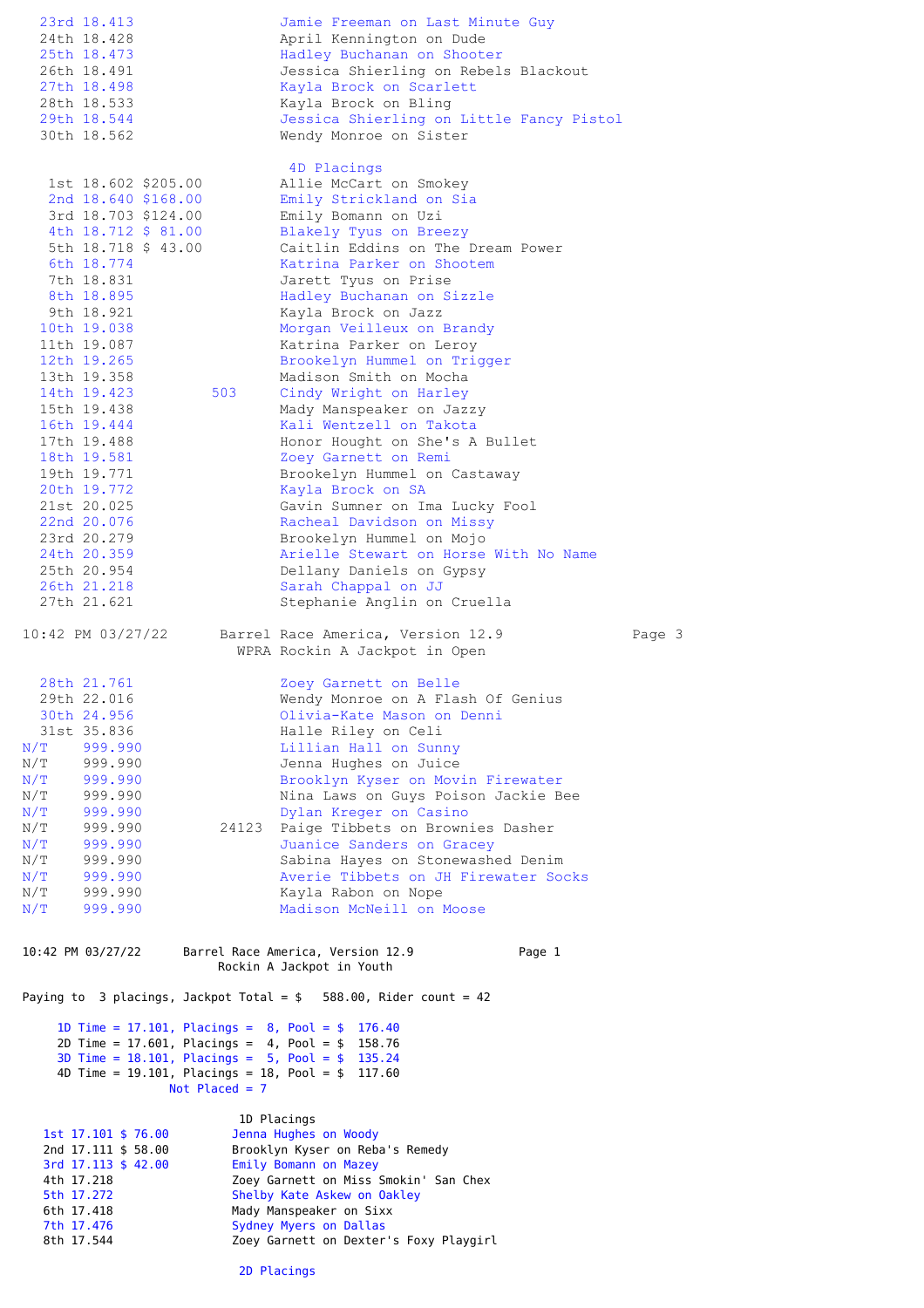|            | 23rd 18.413                                |                     |                  | Jamie Freeman on Last Minute Guy                                                                             |        |
|------------|--------------------------------------------|---------------------|------------------|--------------------------------------------------------------------------------------------------------------|--------|
|            | 24th 18.428                                |                     |                  | April Kennington on Dude                                                                                     |        |
|            | 25th 18.473<br>26th 18.491                 |                     |                  | Hadley Buchanan on Shooter<br>Jessica Shierling on Rebels Blackout                                           |        |
|            | 27th 18.498                                |                     |                  | Kayla Brock on Scarlett                                                                                      |        |
|            | 28th 18.533                                |                     |                  | Kayla Brock on Bling                                                                                         |        |
|            | 29th 18.544                                |                     |                  | Jessica Shierling on Little Fancy Pistol                                                                     |        |
|            | 30th 18.562                                |                     |                  | Wendy Monroe on Sister                                                                                       |        |
|            |                                            |                     |                  |                                                                                                              |        |
|            |                                            | 1st 18.602 \$205.00 |                  | 4D Placings<br>Allie McCart on Smokey                                                                        |        |
|            |                                            | 2nd 18.640 \$168.00 |                  | Emily Strickland on Sia                                                                                      |        |
|            |                                            | 3rd 18.703 \$124.00 |                  | Emily Bomann on Uzi                                                                                          |        |
|            |                                            | 4th 18.712 \$ 81.00 |                  | Blakely Tyus on Breezy                                                                                       |        |
|            |                                            | 5th 18.718 \$ 43.00 |                  | Caitlin Eddins on The Dream Power                                                                            |        |
|            | 6th 18.774                                 |                     |                  | Katrina Parker on Shootem                                                                                    |        |
|            | 7th 18.831<br>8th 18.895                   |                     |                  | Jarett Tyus on Prise<br>Hadley Buchanan on Sizzle                                                            |        |
|            | 9th 18.921                                 |                     |                  | Kayla Brock on Jazz                                                                                          |        |
|            | 10th 19.038                                |                     |                  | Morgan Veilleux on Brandy                                                                                    |        |
|            | 11th 19.087                                |                     |                  | Katrina Parker on Leroy                                                                                      |        |
|            | 12th 19.265                                |                     |                  | Brookelyn Hummel on Trigger                                                                                  |        |
|            | 13th 19.358                                |                     | 503              | Madison Smith on Mocha<br>Cindy Wright on Harley                                                             |        |
|            | 14th 19.423<br>15th 19.438                 |                     |                  | Mady Manspeaker on Jazzy                                                                                     |        |
|            | 16th 19.444                                |                     |                  | Kali Wentzell on Takota                                                                                      |        |
|            | 17th 19.488                                |                     |                  | Honor Hought on She's A Bullet                                                                               |        |
|            | 18th 19.581                                |                     |                  | Zoey Garnett on Remi                                                                                         |        |
|            | 19th 19.771                                |                     |                  | Brookelyn Hummel on Castaway                                                                                 |        |
|            | 20th 19.772<br>21st 20.025                 |                     |                  | Kayla Brock on SA                                                                                            |        |
|            | 22nd 20.076                                |                     |                  | Gavin Sumner on Ima Lucky Fool<br>Racheal Davidson on Missy                                                  |        |
|            | 23rd 20.279                                |                     |                  | Brookelyn Hummel on Mojo                                                                                     |        |
|            | 24th 20.359                                |                     |                  | Arielle Stewart on Horse With No Name                                                                        |        |
|            | 25th 20.954                                |                     |                  | Dellany Daniels on Gypsy                                                                                     |        |
|            | 26th 21.218                                |                     |                  | Sarah Chappal on JJ                                                                                          |        |
|            | 27th 21.621                                |                     |                  | Stephanie Anglin on Cruella                                                                                  |        |
|            | 10:42 PM 03/27/22                          |                     |                  | Barrel Race America, Version 12.9<br>WPRA Rockin A Jackpot in Open                                           | Page 3 |
|            | 28th 21.761                                |                     |                  | Zoey Garnett on Belle                                                                                        |        |
|            | 29th 22.016                                |                     |                  | Wendy Monroe on A Flash Of Genius                                                                            |        |
|            | 30th 24.956<br>31st 35.836                 |                     |                  | Olivia-Kate Mason on Denni                                                                                   |        |
| N/T        | 999.990                                    |                     |                  | Halle Riley on Celi<br>Lillian Hall on Sunny                                                                 |        |
| N/T        | 999.990                                    |                     |                  | Jenna Hughes on Juice                                                                                        |        |
| N/T        | 999.990                                    |                     |                  | Brooklyn Kyser on Movin Firewater                                                                            |        |
| N/T        | 999.990                                    |                     |                  | Nina Laws on Guys Poison Jackie Bee                                                                          |        |
| N/T        | 999.990                                    |                     |                  | Dylan Kreger on Casino                                                                                       |        |
| N/T<br>N/T | 999.990<br>999.990                         |                     | 24123            | Paige Tibbets on Brownies Dasher<br>Juanice Sanders on Gracey                                                |        |
| N/T        | 999.990                                    |                     |                  | Sabina Hayes on Stonewashed Denim                                                                            |        |
| N/T        | 999.990                                    |                     |                  | Averie Tibbets on JH Firewater Socks                                                                         |        |
| N/T        | 999.990                                    |                     |                  | Kayla Rabon on Nope                                                                                          |        |
| N/T        | 999.990                                    |                     |                  | Madison McNeill on Moose                                                                                     |        |
|            | 10:42 PM 03/27/22                          |                     |                  | Barrel Race America, Version 12.9<br>Page 1<br>Rockin A Jackpot in Youth                                     |        |
|            |                                            |                     |                  |                                                                                                              |        |
|            |                                            |                     |                  | Paying to 3 placings, Jackpot Total = $$588.00$ , Rider count = 42                                           |        |
|            |                                            |                     |                  | 1D Time = 17.101, Placings = $8$ , Pool = $$$<br>176.40                                                      |        |
|            |                                            |                     |                  | 2D Time = $17.601$ , Placings = $4$ , Pool = \$<br>158.76                                                    |        |
|            |                                            |                     |                  | 3D Time = $18.101$ , Placings = $5$ , Pool = $$$ 135.24<br>4D Time = 19.101, Placings = 18, Pool = $$117.60$ |        |
|            |                                            |                     | Not Placed = $7$ |                                                                                                              |        |
|            |                                            |                     |                  |                                                                                                              |        |
|            |                                            |                     |                  | 1D Placings                                                                                                  |        |
|            | 1st 17.101 \$ 76.00<br>2nd 17.111 \$ 58.00 |                     |                  | Jenna Hughes on Woody<br>Brooklyn Kyser on Reba's Remedy                                                     |        |
|            | 3rd 17.113 \$ 42.00                        |                     |                  | Emily Bomann on Mazey                                                                                        |        |
|            | 4th 17.218                                 |                     |                  | Zoey Garnett on Miss Smokin' San Chex                                                                        |        |
|            | 5th 17.272                                 |                     |                  | Shelby Kate Askew on Oakley                                                                                  |        |
|            | 6th 17.418                                 |                     |                  | Mady Manspeaker on Sixx                                                                                      |        |

7th 17.476 Sydney Myers on Dallas